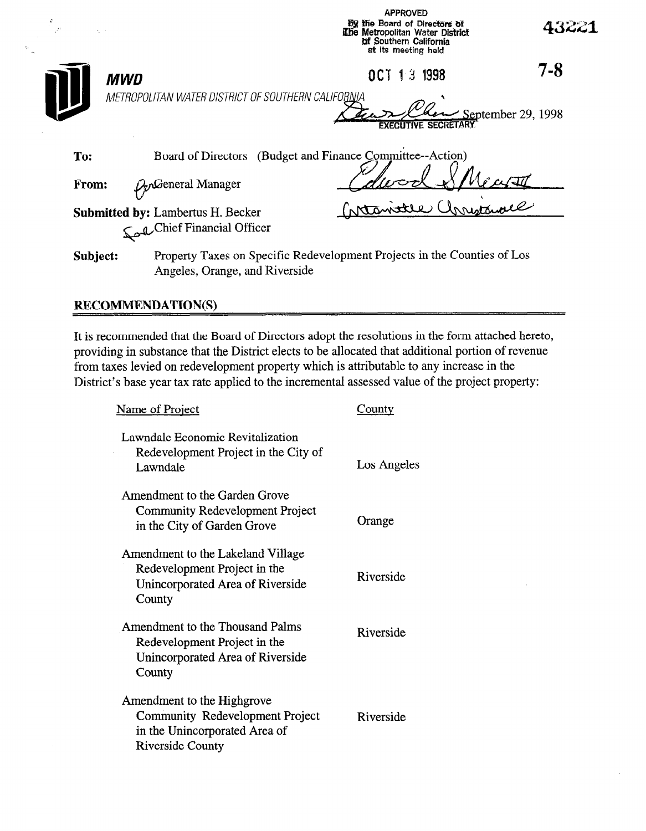| $\mathcal{L}^{\mathcal{L}}$<br>A. |                                                                                                            | <b>By the Board of Directors of</b><br>The Metropolitan Water District<br>of Southern California<br>at its meeting held |                     | 43221                    |
|-----------------------------------|------------------------------------------------------------------------------------------------------------|-------------------------------------------------------------------------------------------------------------------------|---------------------|--------------------------|
| MWD                               |                                                                                                            |                                                                                                                         | OCT 13 1998         | $7 - 8$                  |
|                                   | METROPOLITAN WATER DISTRICT OF SOUTHERN CALIFORNIA                                                         |                                                                                                                         | FXECUTIVE SECRETARY | $\ge$ September 29, 1998 |
| To:                               | Board of Directors (Budget and Finance Committee--Action)                                                  |                                                                                                                         |                     |                          |
| From:                             | $D_{\nu}$ General Manager                                                                                  |                                                                                                                         |                     |                          |
|                                   | <b>Submitted by: Lambertus H. Becker</b><br>Chief Financial Officer                                        |                                                                                                                         | Internate annunce   |                          |
| Subject:                          | Property Taxes on Specific Redevelopment Projects in the Counties of Los<br>Angeles, Orange, and Riverside |                                                                                                                         |                     |                          |

APPROVED

### RECOMMENDATION(S)

It is recommended that the Board of Directors adopt the resolutions in the form attached hereto, providing in substance that the District elects to be allocated that additional portion of revenue from taxes levied on redevelopment property which is attributable to any increase in the District's base year tax rate applied to the incremental assessed value of the project property:

| Name of Project                                                                                                           | County      |  |
|---------------------------------------------------------------------------------------------------------------------------|-------------|--|
| Lawndale Economic Revitalization<br>Redevelopment Project in the City of<br>Lawndale                                      | Los Angeles |  |
| Amendment to the Garden Grove<br>Community Redevelopment Project<br>in the City of Garden Grove                           | Orange      |  |
| Amendment to the Lakeland Village<br>Redevelopment Project in the<br>Unincorporated Area of Riverside<br>County           | Riverside   |  |
| Amendment to the Thousand Palms<br>Redevelopment Project in the<br>Unincorporated Area of Riverside<br>County             | Riverside   |  |
| Amendment to the Highgrove<br>Community Redevelopment Project<br>in the Unincorporated Area of<br><b>Riverside County</b> | Riverside   |  |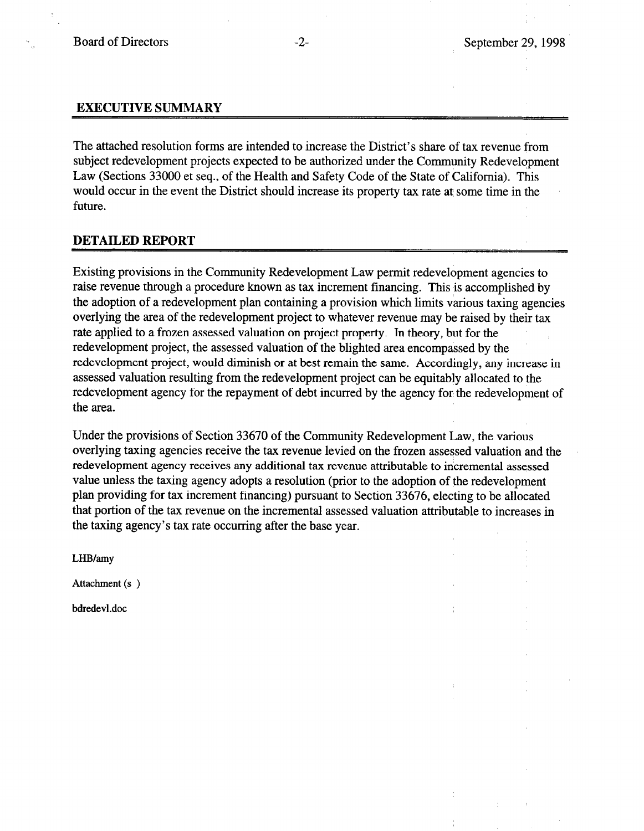### EXECUTIVE SUMMARY

The attached resolution forms are intended to increase the District's share of tax revenue from subject redevelopment projects expected to be authorized under the Community Redevelopment Law (Sections 33000 et seq., of the Health and Safety Code of the State of California). This would occur in the event the District should increase its property tax rate at some time in the future.

### DETAILED REPORT

Existing provisions in the Community Redevelopment Law permit redevelopment agencies to raise revenue through a procedure known as tax increment financing. This is accomplished by the adoption of a redevelopment plan containing a provision which limits various taxing agencies overlying the area of the redevelopment project to whatever revenue may be raised by their tax rate applied to a frozen assessed valuation on project property. ln theory, but for the redevelopment project, the assessed valuation of the blighted area encompassed by the redevelopment project, would diminish or at best remain the same. Accordingly, any increase in assessed valuation resulting from the redevelopment project can be equitably allocated to the redevelopment agency for the repayment of debt incurred by the agency for the redevelopment of the area.

Under the provisions of Section 33670 of the Community Redevelopment Law, the various overlying taxing agencies receive the tax revenue levied on the frozen assessed valuation and the redevelopment agency receives any additional tax revenue attributable to incremental assessed value unless the taxing agency adopts a resolution (prior to the adoption of the redevelopment plan providing for tax increment financing) pursuant to Section 33676, electing to be allocated that portion of the tax revenue on the incremental assessed valuation attributable to increases in the taxing agency's tax rate occurring after the base year.

LHB/amy

Attachment (s )

bdredevl.doc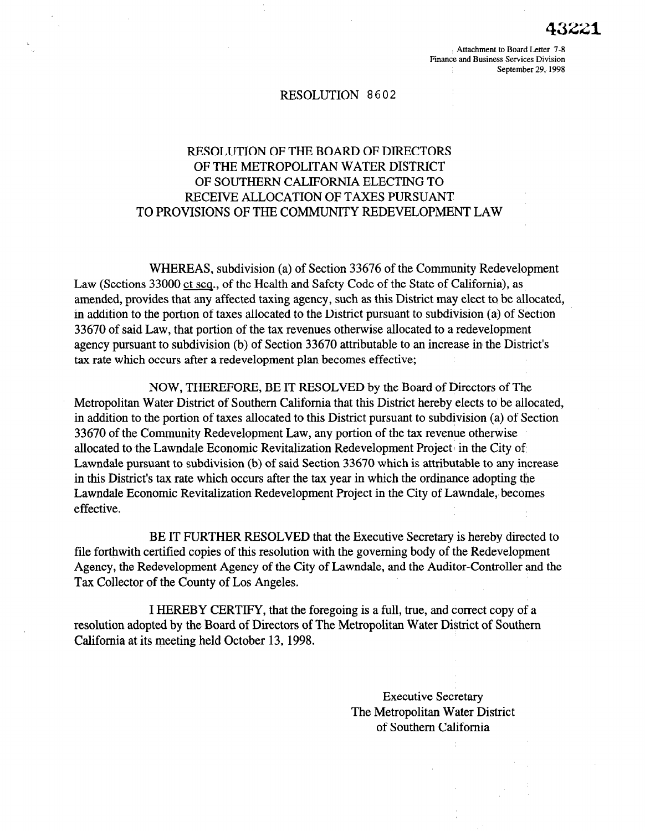Attachment to Board Letter 7-8 Finance and Business Services Division September 29, 1998

#### RESOLUTION 8602

# RESOLUTION OF THE BOARD OF DIRECTORS OF THE METROPOLITAN WATER DISTRICT OF SOUTHERN CALIFORNIA ELECTING TO RECEIVE ALLOCATION OF TAXES PURSUANT TO PROVISIONS OF THE COMMUNITY REDEVELOPMENT LAW

WHEREAS, subdivision (a) of Section 33676 of the Community Redevelopment Law (Sections 33000 et seq., of the Health and Safety Code of the State of California), as amended, provides that any affected taxing agency, such as this District may elect to be allocated, in addition to the portion of taxes allocated to the District pursuant to subdivision (a) of Section 33670 of said Law, that portion of the tax revenues otherwise allocated to a redevelopment agency pursuant to subdivision (b) of Section 33670 attributable to an increase in the District's tax rate which occurs after a redevelopment plan becomes effective;

NOW, THEREFORE, BE IT RESOLVED by the Board of Directors of The Metropolitan Water District of Southern California that this District hereby elects to be allocated, in addition to the portion of taxes allocated to this District pursuant to subdivision (a) of Section  $\overline{3}$  from the community redevelopment  $\overline{3}$  and  $\overline{3}$  redevelopment  $\overline{3}$  revenue of the tax revenue of the tax revenue of the tax revenue of the tax revenue of the tax revenue of the tax revenue of the tax r  $\frac{1}{2}$  allocated to the Lawndale Economic Review Redevelopment Eaw, any portion of the cas revenue of  $\frac{1}{2}$ allocated to the Lawndale Economic Revitalization Redevelopment Project in the City of Lawndale pursuant to subdivision (b) of said Section 33670 which is attributable to any increase in this District's tax rate which occurs after the tax year in which the ordinance adopting the Lawndale Economic Revitalization Redevelopment Project in the City of Lawndale, becomes effective.

 $B = \frac{1}{2} \ln \frac{1}{2}$  further resolved that the Executive Secretary is hereby directed to the Executive Secretary is hereby directed to the Executive Secretary is hereby directed to the Executive Secretary is hereby direct BE IT FURTHER RESOL VED that the Executive Secretary is nere by different file forthwith certified copies of this resolution with the governing body of the Redevelopment Agency, the Redevelopment Agency of the City of Lawndale, and the Auditor-Controller and the Tax Collector of the County of Los Angeles.

In Hereby certify, that the foregoing is a full, that the foregoing is a full, true, and correct copy of and co I HEREBY CERTIFY, that the foregoing is a full, true, and correct copy of a resolution adopted by the Board of Directors of The Metropolitan Water District of Southern California at its meeting held October 13, 1998.

> **Executive Secretary** The Metropolitan Water District of Southern California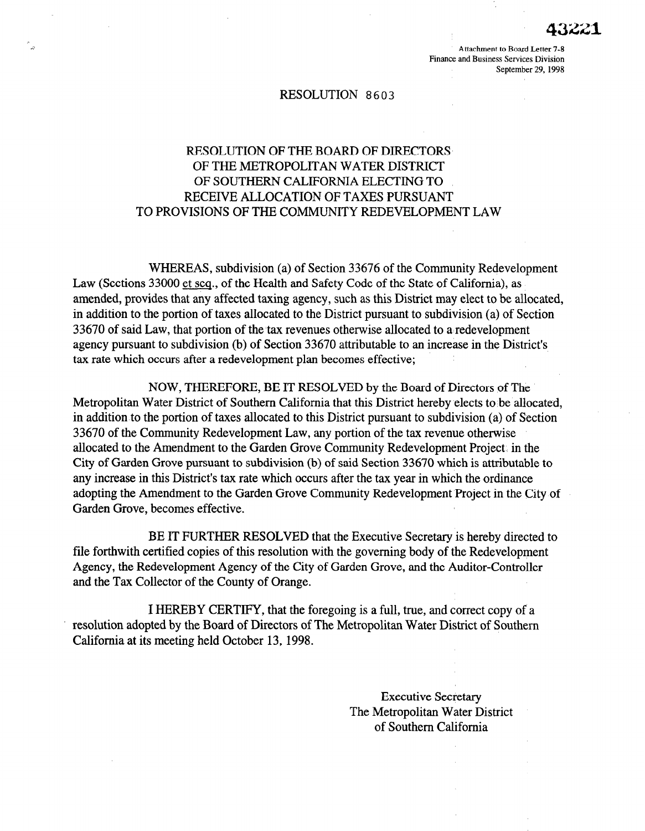Attachment to Board Letter 7-8 Finance and Business Services Division September 29,199s

#### RESOLUTION 8603

## RESOLUTION OF THE BOARD OF DIRECTORS OF THE METROPOLITAN WATER DISTRICT OF SOUTHERN CALIFORNIA ELECTING TO RECEIVE ALLOCATION OF TAXES PURSUANT TO PROVISIONS OF THE COMMUNITY REDEVELOPMENT LAW

WHEREAS, subdivision (a) of Section 33676 of the Community Redevelopment Law (Sections 33000 et seq., of the Health and Safety Code of the State of California), as amended, provides that any affected taxing agency, such as this District may elect to be allocated, in addition to the portion of taxes allocated to the District pursuant to subdivision (a) of Section 33670 of said Law, that portion of the tax revenues otherwise allocated to a redevelopment agency pursuant to subdivision (b) of Section 33670 attributable to an increase in the District's tax rate which occurs after a redevelopment plan becomes effective;

NOW, THEREFORE, BE IT RESOLVED by the Board of Directors of The Metropolitan Water District of Southern California that this District hereby elects to be allocated, in addition to the portion of taxes allocated to this District pursuant to subdivision (a) of Section 33670 of the Community Redevelopment Law, any portion of the tax revenue otherwise allocated the Community Redevelopment Law, any portion of the tax revenue offici wise anotated to the Amendment to the Garden Grove community redevelopment I roject. In the City of Garden Grove pursuant to subdivision (b) of said Section 33670 which is attributable to any increase in this District's tax rate which occurs after the tax year in which the ordinance adopting the Amendment to the Garden Grove Community Redevelopment Project in the City of Garden Grove, becomes effective.

BE IT FURTHER RESOLVED that the Executive Secretary is the Executive Secretary is the Executive Secretary is directed to the Executive Secretary is directed to the Executive Secretary is directed to the Executive Secretar **FILE FORTHER RESOLVED that the EXECUTVE SECTEMENT IS RETEDY OFFECTED** file forthwith certified copies of this resolution with the governing body of the Redevelopment Agency, the Redevelopment Agency of the City of Garden Grove, and the Auditor-Controller and the Tax Collector of the County of Orange.

In Hereby certify, that the foregoing is a full, that the foregoing is a full, true, and correct copy of and I HEKEB Y CEKTIFY, that the foregoing is a full, true, and correct copy of a resolution adopted by the Board of Directors of The Metropolitan Water District of Southern California at its meeting held October 13, 1998.

> **Executive Secretary** The Metropolitan Water District of Southern California

Executive Secretary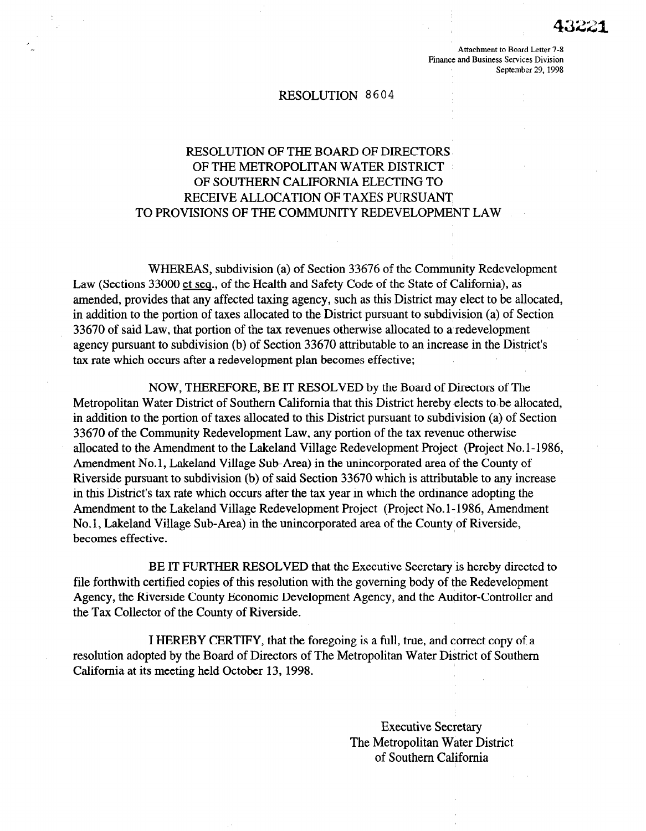Attachment to Board Letter 7-8 Finance and Business Services Division September 29, 1998

#### RESOLUTION 8 6 0 4

# RESOLUTION OF THE BOARD OF DIRECTORS OF THE METROPOLITAN WATER DISTRICT OF SOUTHERN CALIFORNIA ELECTING TO RECEIVE ALLOCATION OF TAXES PURSUANT TO PROVISIONS OF THE COMMUNITY REDEVELOPMENT LAW

WHEREAS, subdivision (a) of Section 33676 of the Community Redevelopment Law (Sections 33000 et seq., of the Health and Safety Code of the State of California), as amended, provides that any affected taxing agency, such as this District may elect to be allocated, in addition to the portion of taxes allocated to the District pursuant to subdivision (a) of Section 33670 of said Law, that portion of the tax revenues otherwise allocated to a redevelopment agency pursuant to subdivision (b) of Section 33670 attributable to an increase in the District's tax rate which occurs after a redevelopment plan becomes effective;

NOW, THEREFORE, BE IT RESOLVED by the Board of Directors of The Metropolitan Water District of Southern California that this District hereby elects to be allocated, in addition to the portion of taxes allocated to this District pursuant to subdivision (a) of Section 33670 of the Community Redevelopment Law, any portion of the tax revenue otherwise allocated to the Amendment to the Lakeland Village Redevelopment Project (Project No.l-1986, Amendment No. 1, Lakeland Village Sub-Area) in the unincorporated area of the County of riverside pursuant to subdivision of subdivision in the anti-reportation area of the County of  $\mu$ iverside parsualit to subdivision (b) of said Section 33070 which is attributable to any incrediin this District's tax rate which occurs after the tax year in which the ordinance adopting the Amendment to the Lakeland Village Redevelopment Project (Project No.1-1986, Amendment No.1, Lakeland Village Sub-Area) in the unincorporated area of the County of Riverside, becomes effective.

 $B = \frac{1}{2}$  further resolved that the Executive Secretary is hereby directed to  $\frac{1}{2}$ file for the government copies of the government and the government of the redevelopment of the Redevelopment of the Redevelopment of the Redevelopment of the Redevelopment of the Redevelopment of the Redevelopment of the file forthwith certified copies of this resolution with the governing body of the Redevelopment Agency, the Riverside County Economic Development Agency, and the Auditor-Controller and the Tax Collector of the County of Riverside.

In Hereby certify, that the foregoing is a full, that the foregoing is a full, true, and correct components of and copy of and copy of and components of and components of and components of and components of and components

I HEREBY CERTIFY, that the foregoing is a full, true, and correct copy of a resolution adopted by the Board of Directors of The Metropolitan Water District of Southern California at its meeting held October 13, 1998.

> Executive Secretary The Metropolitan Water District of Southern California

Executive Secretary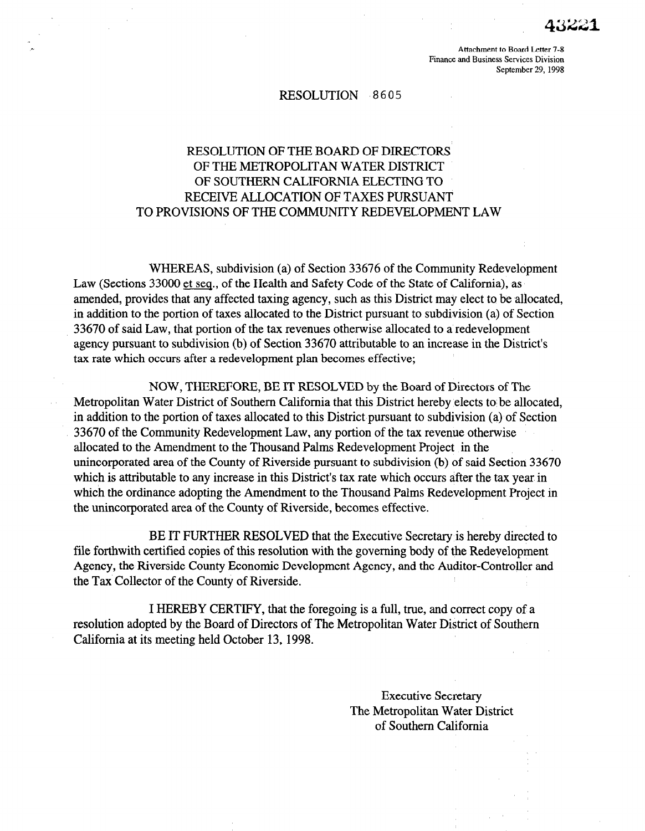Attachment to Board Letter 7-8 Finance and Business Services Division September 29, 1998

### RESOLUTION 8605

# RESOLUTION OF THE BOARD OF DIRECTORS OF THE METROPOLITAN WATER DISTRICT OF SOUTHERN CALIFORNIA ELECTING TO RECEIVE ALLOCATION OF TAXES PURSUANT TO PROVISIONS OF THE COMMUNITY REDEVELOPMENT LAW

WHEREAS, subdivision (a) of Section 33676 of the Community Redevelopment Law (Sections 33000 et seq., of the Health and Safety Code of the State of California), as amended, provides that any affected taxing agency, such as this District may elect to be allocated, in addition to the portion of taxes allocated to the District pursuant to subdivision (a) of Section 33670 of said Law, that portion of the tax revenues otherwise allocated to a redevelopment agency pursuant to subdivision (b) of Section 33670 attributable to an increase in the District's tax rate which occurs after a redevelopment plan becomes effective;

NOW, THEREFORE, BE IT RESOLVED by the Board of Directors of The Metropolitan Water District of Southern California that this District hereby elects to'be allocated, in addition to the portion of taxes allocated to this District pursuant to subdivision (a) of Section 33670 of the Community Redevelopment Law, any portion of the tax revenue otherwise allocated to the Amendment to the Thousand Palms Redevelopment Project in the unicated to the American corporation of Thousand Tamps Redevelopment Troject. In the which is a tributable to any increase in this District tax rate which occurs and security of which is attributable to any increase in this District's tax rate which occurs after the tax year in which the ordinance adopting the Amendment to the Thousand Palms Redevelopment Project in the unincorporated area of the County of Riverside, becomes effective.

BE IT FURTHER RESOLVED that the Executive Secretary is hereby directed to **FILE FORTHER RESOL VED that the Executive Secretary is nereby directed** file forthwith certified copies of this resolution with the governing body of the Redevelopment Agency, the Riverside County Economic Development Agency, and the Auditor-Controller and the Tax Collector of the County of Riverside.

I HEREBY CERTIFY, that the foregoing is a full, true, and correct copy of a resolution adopted by the Board of Directors of The Metropolitan Water District of Southern<br>California at its meeting held October 13, 1998.

> **Executive Secretary** The Metropolitan Water District of Southern California

Executive Secretary